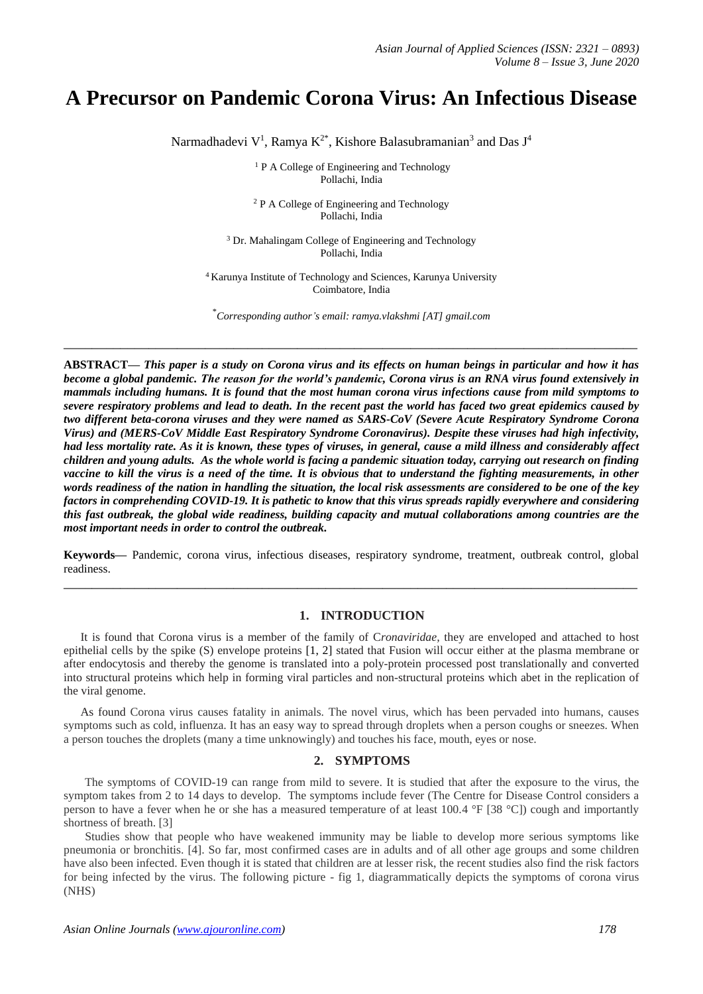# **A Precursor on Pandemic Corona Virus: An Infectious Disease**

Narmadhadevi V<sup>1</sup>, Ramya K<sup>2\*</sup>, Kishore Balasubramanian<sup>3</sup> and Das J<sup>4</sup>

<sup>1</sup> P A College of Engineering and Technology Pollachi, India

<sup>2</sup> P A College of Engineering and Technology Pollachi, India

<sup>3</sup> Dr. Mahalingam College of Engineering and Technology Pollachi, India

<sup>4</sup> Karunya Institute of Technology and Sciences, Karunya University Coimbatore, India

\**Corresponding author's email: ramya.vlakshmi [AT] gmail.com*

**\_\_\_\_\_\_\_\_\_\_\_\_\_\_\_\_\_\_\_\_\_\_\_\_\_\_\_\_\_\_\_\_\_\_\_\_\_\_\_\_\_\_\_\_\_\_\_\_\_\_\_\_\_\_\_\_\_\_\_\_\_\_\_\_\_\_\_\_\_\_\_\_\_\_\_\_\_\_\_\_\_**

**ABSTRACT—** *This paper is a study on Corona virus and its effects on human beings in particular and how it has become a global pandemic. The reason for the world's pandemic, Corona virus is an RNA virus found extensively in mammals including humans. It is found that the most human corona virus infections cause from mild symptoms to severe respiratory problems and lead to death. In the recent past the world has faced two great epidemics caused by two different beta-corona viruses and they were named as SARS-CoV (Severe Acute Respiratory Syndrome Corona Virus) and (MERS-CoV Middle East Respiratory Syndrome Coronavirus). Despite these viruses had high infectivity, had less mortality rate. As it is known, these types of viruses, in general, cause a mild illness and considerably affect children and young adults. As the whole world is facing a pandemic situation today, carrying out research on finding vaccine to kill the virus is a need of the time. It is obvious that to understand the fighting measurements, in other words readiness of the nation in handling the situation, the local risk assessments are considered to be one of the key factors in comprehending COVID-19. It is pathetic to know that this virus spreads rapidly everywhere and considering this fast outbreak, the global wide readiness, building capacity and mutual collaborations among countries are the most important needs in order to control the outbreak.*

**Keywords—** Pandemic, corona virus, infectious diseases, respiratory syndrome, treatment, outbreak control, global readiness. **\_\_\_\_\_\_\_\_\_\_\_\_\_\_\_\_\_\_\_\_\_\_\_\_\_\_\_\_\_\_\_\_\_\_\_\_\_\_\_\_\_\_\_\_\_\_\_\_\_\_\_\_\_\_\_\_\_\_\_\_\_\_\_\_\_\_\_\_\_\_\_\_\_\_\_\_\_\_\_\_\_**

## **1. INTRODUCTION**

It is found that Corona virus is a member of the family of C*ronaviridae,* they are enveloped and attached to host epithelial cells by the spike (S) envelope proteins [1, 2] stated that Fusion will occur either at the plasma membrane or after endocytosis and thereby the genome is translated into a poly-protein processed post translationally and converted into structural proteins which help in forming viral particles and non-structural proteins which abet in the replication of the viral genome.

As found Corona virus causes fatality in animals. The novel virus, which has been pervaded into humans, causes symptoms such as cold, influenza. It has an easy way to spread through droplets when a person coughs or sneezes. When a person touches the droplets (many a time unknowingly) and touches his face, mouth, eyes or nose.

#### **2. SYMPTOMS**

The symptoms of COVID-19 can range from mild to severe. It is studied that after the exposure to the virus, the symptom takes from 2 to 14 days to develop. The symptoms include fever (The Centre for Disease Control considers a person to have a fever when he or she has a measured temperature of at least 100.4 °F [38 °C]) cough and importantly shortness of breath. [3]

Studies show that people who have weakened immunity may be liable to develop more serious symptoms like pneumonia or bronchitis. [4]. So far, most confirmed cases are in adults and of all other age groups and some children have also been infected. Even though it is stated that children are at lesser risk, the recent studies also find the risk factors for being infected by the virus. The following picture - fig 1, diagrammatically depicts the symptoms of corona virus (NHS)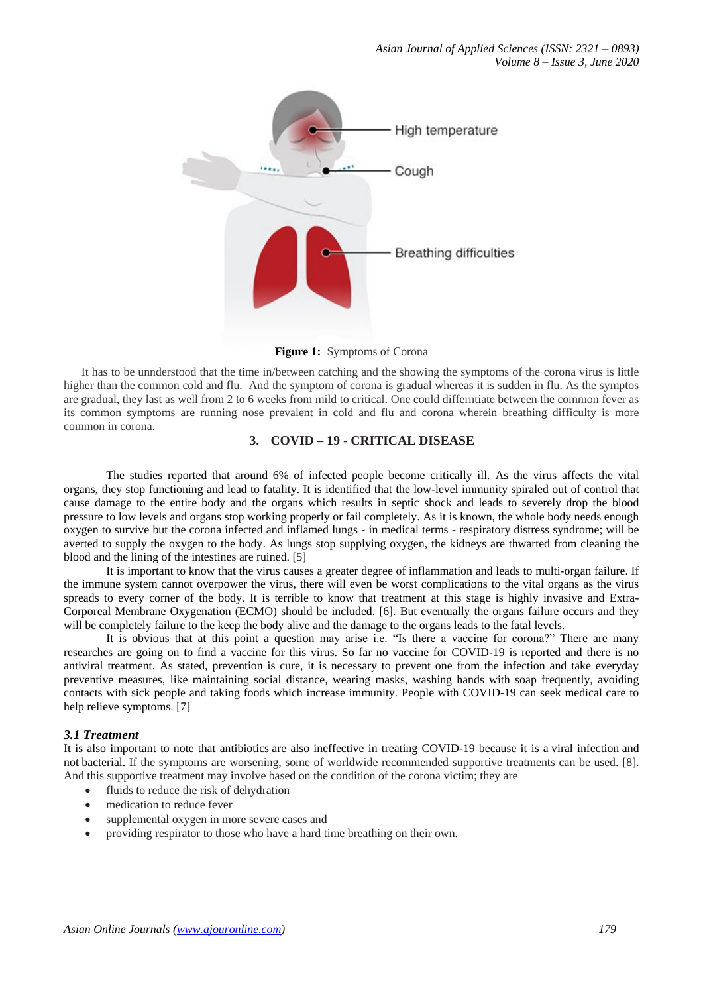

**Figure 1:** Symptoms of Corona

 It has to be unnderstood that the time in/between catching and the showing the symptoms of the corona virus is little higher than the common cold and flu. And the symptom of corona is gradual whereas it is sudden in flu. As the symptos are gradual, they last as well from 2 to 6 weeks from mild to critical. One could differntiate between the common fever as its common symptoms are running nose prevalent in cold and flu and corona wherein breathing difficulty is more common in corona.

## **3. COVID – 19 - CRITICAL DISEASE**

The studies reported that around 6% of infected people become critically ill. As the virus affects the vital organs, they stop functioning and lead to fatality. It is identified that the low-level immunity spiraled out of control that cause damage to the entire body and the organs which results in septic shock and leads to severely drop the blood pressure to low levels and organs stop working properly or fail completely. As it is known, the whole body needs enough oxygen to survive but the corona infected and inflamed lungs - in medical terms - respiratory distress syndrome; will be averted to supply the oxygen to the body. As lungs stop supplying oxygen, the kidneys are thwarted from cleaning the blood and the lining of the intestines are ruined. [5]

It is important to know that the virus causes a greater degree of inflammation and leads to multi-organ failure. If the immune system cannot overpower the virus, there will even be worst complications to the vital organs as the virus spreads to every corner of the body. It is terrible to know that treatment at this stage is highly invasive and Extra-Corporeal Membrane Oxygenation (ECMO) should be included. [6]. But eventually the organs failure occurs and they will be completely failure to the keep the body alive and the damage to the organs leads to the fatal levels.

It is obvious that at this point a question may arise i.e. "Is there a vaccine for corona?" There are many researches are going on to find a vaccine for this virus. So far no vaccine for COVID-19 is reported and there is no antiviral treatment. As stated, prevention is cure, it is necessary to prevent one from the infection and take everyday preventive measures, like maintaining social distance, wearing masks, washing hands with soap frequently, avoiding contacts with sick people and taking foods which increase immunity. People with COVID-19 can seek medical care to help relieve symptoms. [7]

# *3.1 Treatment*

It is also important to note that [antibiotics](https://www.healthline.com/health/how-do-antibiotics-work) are also ineffective in treating COVID-19 because it is a [viral infection](https://www.healthline.com/health/bacterial-vs-viral-infections) and not [bacterial.](https://www.healthline.com/health/bacteria) If the symptoms are worsening, some of worldwide recommended supportive treatments can be used. [8]. And this supportive treatment may involve based on the condition of the corona victim; they are

- fluids to reduce the risk of dehydration
- medication to reduce fever
- supplemental oxygen in more severe cases and
- providing respirator to those who have a hard time breathing on their own.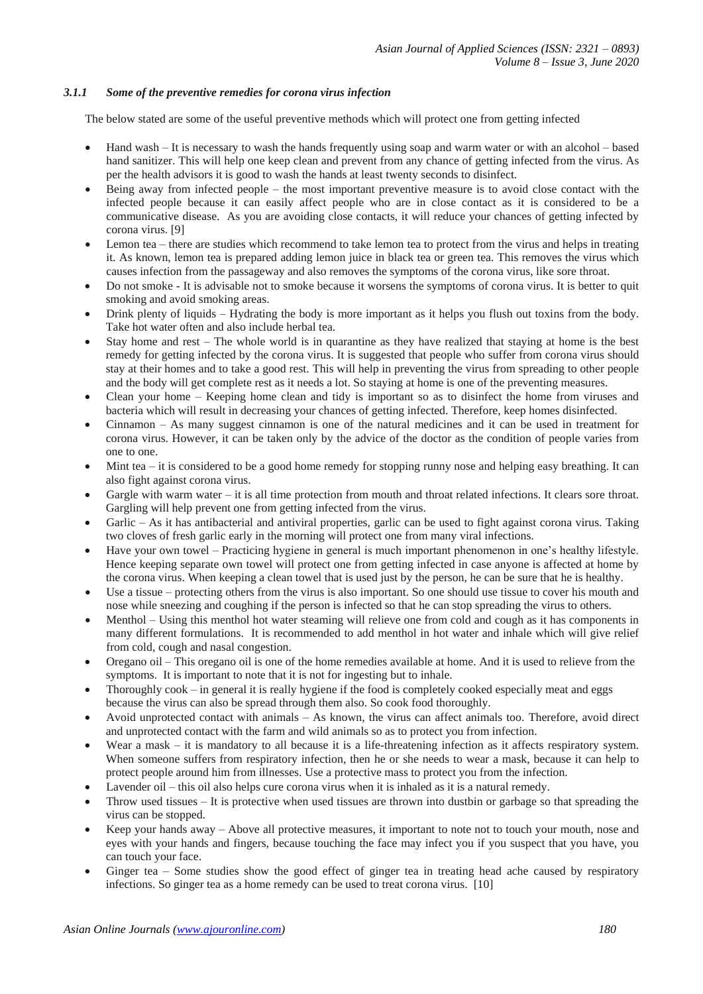## *3.1.1 Some of the preventive remedies for corona virus infection*

The below stated are some of the useful preventive methods which will protect one from getting infected

- Hand wash It is necessary to wash the hands frequently using soap and warm water or with an alcohol based hand sanitizer. This will help one keep clean and prevent from any chance of getting infected from the virus. As per the health advisors it is good to wash the hands at least twenty seconds to disinfect.
- Being away from infected people the most important preventive measure is to avoid close contact with the infected people because it can easily affect people who are in close contact as it is considered to be a communicative disease. As you are avoiding close contacts, it will reduce your chances of getting infected by corona virus. [9]
- Lemon tea there are studies which recommend to take lemon tea to protect from the virus and helps in treating it. As known, lemon tea is prepared adding lemon juice in black tea or green tea. This removes the virus which causes infection from the passageway and also removes the symptoms of the corona virus, like sore throat.
- Do not smoke It is advisable not to smoke because it worsens the symptoms of corona virus. It is better to quit smoking and avoid smoking areas.
- Drink plenty of liquids Hydrating the body is more important as it helps you flush out toxins from the body. Take hot water often and also include herbal tea.
- Stay home and rest The whole world is in quarantine as they have realized that staying at home is the best remedy for getting infected by the corona virus. It is suggested that people who suffer from corona virus should stay at their homes and to take a good rest. This will help in preventing the virus from spreading to other people and the body will get complete rest as it needs a lot. So staying at home is one of the preventing measures.
- Clean your home Keeping home clean and tidy is important so as to disinfect the home from viruses and bacteria which will result in decreasing your chances of getting infected. Therefore, keep homes disinfected.
- Cinnamon As many suggest cinnamon is one of the natural medicines and it can be used in treatment for corona virus. However, it can be taken only by the advice of the doctor as the condition of people varies from one to one.
- Mint tea it is considered to be a good home remedy for stopping runny nose and helping easy breathing. It can also fight against corona virus.
- Gargle with warm water it is all time protection from mouth and throat related infections. It clears sore throat. Gargling will help prevent one from getting infected from the virus.
- Garlic As it has antibacterial and antiviral properties, garlic can be used to fight against corona virus. Taking two cloves of fresh garlic early in the morning will protect one from many viral infections.
- Have your own towel Practicing hygiene in general is much important phenomenon in one's healthy lifestyle. Hence keeping separate own towel will protect one from getting infected in case anyone is affected at home by the corona virus. When keeping a clean towel that is used just by the person, he can be sure that he is healthy.
- Use a tissue protecting others from the virus is also important. So one should use tissue to cover his mouth and nose while sneezing and coughing if the person is infected so that he can stop spreading the virus to others.
- Menthol Using this menthol hot water steaming will relieve one from cold and cough as it has components in many different formulations. It is recommended to add menthol in hot water and inhale which will give relief from cold, cough and nasal congestion.
- Oregano oil This oregano oil is one of the home remedies available at home. And it is used to relieve from the symptoms. It is important to note that it is not for ingesting but to inhale.
- Thoroughly cook in general it is really hygiene if the food is completely cooked especially meat and eggs because the virus can also be spread through them also. So cook food thoroughly.
- Avoid unprotected contact with animals As known, the virus can affect animals too. Therefore, avoid direct and unprotected contact with the farm and wild animals so as to protect you from infection.
- Wear a mask it is mandatory to all because it is a life-threatening infection as it affects respiratory system. When someone suffers from respiratory infection, then he or she needs to wear a mask, because it can help to protect people around him from illnesses. Use a protective mass to protect you from the infection.
- Lavender oil this oil also helps cure corona virus when it is inhaled as it is a natural remedy.
- Throw used tissues It is protective when used tissues are thrown into dustbin or garbage so that spreading the virus can be stopped.
- Keep your hands away Above all protective measures, it important to note not to touch your mouth, nose and eyes with your hands and fingers, because touching the face may infect you if you suspect that you have, you can touch your face.
- Ginger tea Some studies show the good effect of ginger tea in treating head ache caused by respiratory infections. So ginger tea as a home remedy can be used to treat corona virus. [10]